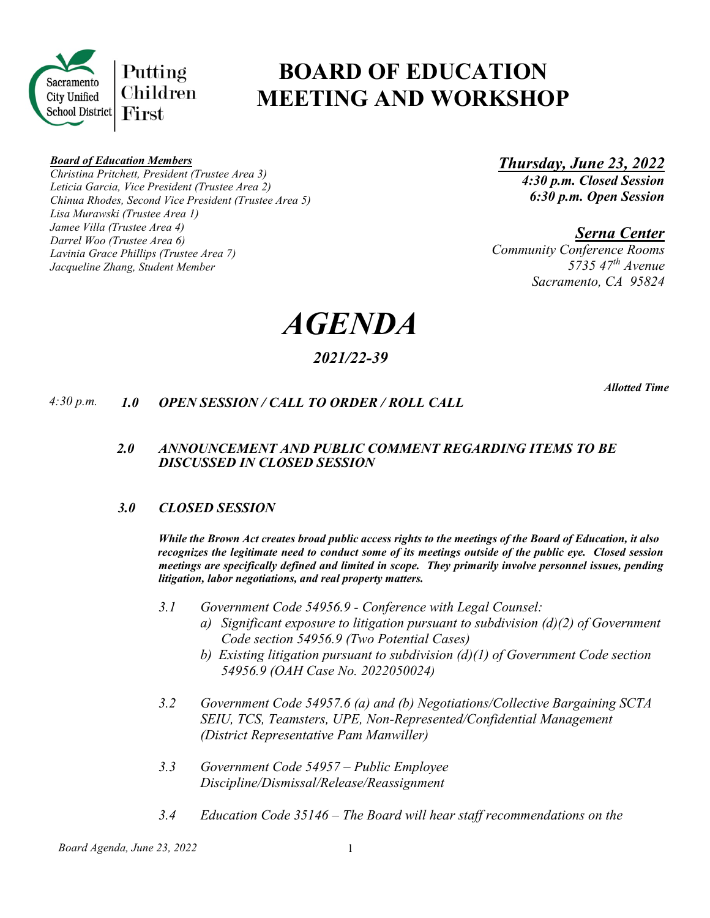

# **BOARD OF EDUCATION MEETING AND WORKSHOP**

#### *Board of Education Members*

*Christina Pritchett, President (Trustee Area 3) Leticia Garcia, Vice President (Trustee Area 2) Chinua Rhodes, Second Vice President (Trustee Area 5) Lisa Murawski (Trustee Area 1) Jamee Villa (Trustee Area 4) Darrel Woo (Trustee Area 6) Lavinia Grace Phillips (Trustee Area 7) Jacqueline Zhang, Student Member*

*Thursday, June 23, 2022 4:30 p.m. Closed Session 6:30 p.m. Open Session* 

*Serna Center*

*Community Conference Rooms 5735 47th Avenue Sacramento, CA 95824* 

*AGENDA*

## *2021/22-39*

 *Allotted Time*

## *4:30 p.m. 1.0 OPEN SESSION / CALL TO ORDER / ROLL CALL*

## *2.0 ANNOUNCEMENT AND PUBLIC COMMENT REGARDING ITEMS TO BE DISCUSSED IN CLOSED SESSION*

## *3.0 CLOSED SESSION*

*While the Brown Act creates broad public access rights to the meetings of the Board of Education, it also recognizes the legitimate need to conduct some of its meetings outside of the public eye. Closed session meetings are specifically defined and limited in scope. They primarily involve personnel issues, pending litigation, labor negotiations, and real property matters.* 

- *3.1 Government Code 54956.9 - Conference with Legal Counsel:*
	- *a) Significant exposure to litigation pursuant to subdivision (d)(2) of Government Code section 54956.9 (Two Potential Cases)*
	- *b) Existing litigation pursuant to subdivision (d)(1) of Government Code section 54956.9 (OAH Case No. 2022050024)*
- *3.2 Government Code 54957.6 (a) and (b) Negotiations/Collective Bargaining SCTA SEIU, TCS, Teamsters, UPE, Non-Represented/Confidential Management (District Representative Pam Manwiller)*
- *3.3 Government Code 54957 Public Employee Discipline/Dismissal/Release/Reassignment*
- *3.4 Education Code 35146 The Board will hear staff recommendations on the*

*Board Agenda, June 23, 2022* 1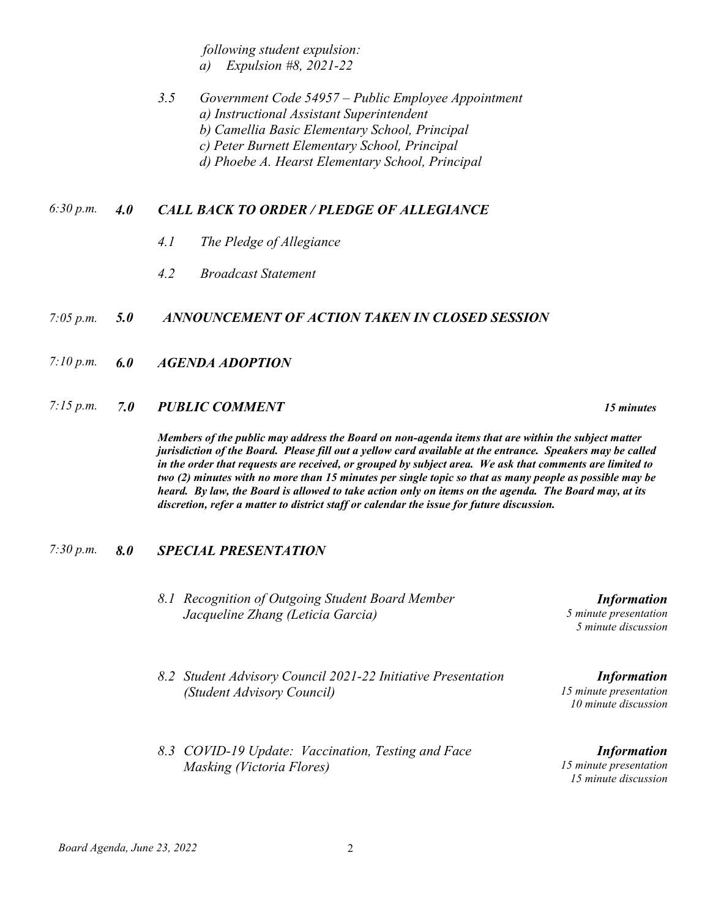*following student expulsion: a) Expulsion #8, 2021-22*

## *3.5 Government Code 54957 – Public Employee Appointment a) Instructional Assistant Superintendent b) Camellia Basic Elementary School, Principal c) Peter Burnett Elementary School, Principal d) Phoebe A. Hearst Elementary School, Principal*

## *6:30 p.m. 4.0 CALL BACK TO ORDER / PLEDGE OF ALLEGIANCE*

- *4.1 The Pledge of Allegiance*
- *4.2 Broadcast Statement*

#### *7:05 p.m. 5.0 ANNOUNCEMENT OF ACTION TAKEN IN CLOSED SESSION*

- *7:10 p.m. 6.0 AGENDA ADOPTION*
- *7:15 p.m. 7.0 PUBLIC COMMENT 15 minutes*

*Members of the public may address the Board on non-agenda items that are within the subject matter jurisdiction of the Board. Please fill out a yellow card available at the entrance. Speakers may be called in the order that requests are received, or grouped by subject area. We ask that comments are limited to two (2) minutes with no more than 15 minutes per single topic so that as many people as possible may be heard. By law, the Board is allowed to take action only on items on the agenda. The Board may, at its discretion, refer a matter to district staff or calendar the issue for future discussion.*

#### *7:30 p.m. 8.0 SPECIAL PRESENTATION*

- *8.1 Recognition of Outgoing Student Board Member Jacqueline Zhang (Leticia Garcia)*
- *8.2 Student Advisory Council 2021-22 Initiative Presentation (Student Advisory Council)*
- *8.3 COVID-19 Update: Vaccination, Testing and Face Masking (Victoria Flores)*

*Information 5 minute presentation 5 minute discussion*

*Information 15 minute presentation 10 minute discussion*

*Information 15 minute presentation 15 minute discussion*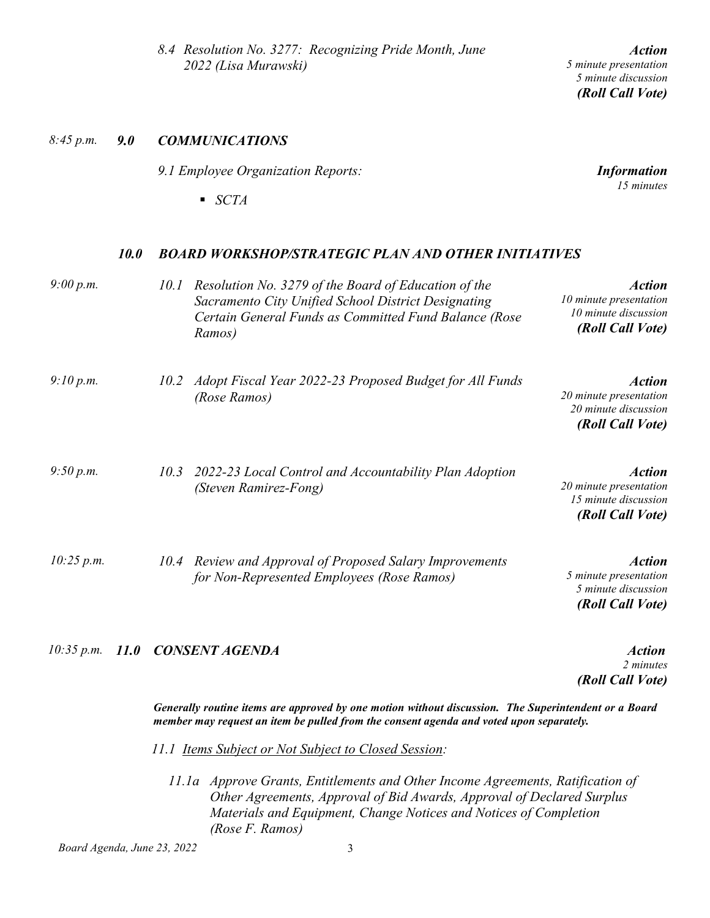*Board Agenda, June 23, 2022* 3

*8.4 Resolution No. 3277: Recognizing Pride Month, June 2022 (Lisa Murawski)* 

*8:45 p.m. 9.0 COMMUNICATIONS*

*9.1 Employee Organization Reports:* 

*SCTA* 

#### *10.0 BOARD WORKSHOP/STRATEGIC PLAN AND OTHER INITIATIVES*

| 9:00 p.m.  | 10.1 | Resolution No. 3279 of the Board of Education of the<br>Sacramento City Unified School District Designating<br>Certain General Funds as Committed Fund Balance (Rose<br>Ramos) | <b>Action</b><br>10 minute presentation<br>10 minute discussion<br>(Roll Call Vote) |
|------------|------|--------------------------------------------------------------------------------------------------------------------------------------------------------------------------------|-------------------------------------------------------------------------------------|
| 9:10 p.m.  | 10.2 | Adopt Fiscal Year 2022-23 Proposed Budget for All Funds<br>(Rose Ramos)                                                                                                        | <b>Action</b><br>20 minute presentation<br>20 minute discussion<br>(Roll Call Vote) |
| 9:50 p.m.  | 10.3 | 2022-23 Local Control and Accountability Plan Adoption<br>(Steven Ramirez-Fong)                                                                                                | <b>Action</b><br>20 minute presentation<br>15 minute discussion<br>(Roll Call Vote) |
| 10:25 p.m. |      | 10.4 Review and Approval of Proposed Salary Improvements<br>for Non-Represented Employees (Rose Ramos)                                                                         | <b>Action</b><br>5 minute presentation<br>5 minute discussion<br>(Roll Call Vote)   |

## *10:35 p.m. 11.0 CONSENT AGENDA Action*

*Generally routine items are approved by one motion without discussion. The Superintendent or a Board member may request an item be pulled from the consent agenda and voted upon separately.*

*11.1 Items Subject or Not Subject to Closed Session:*

*11.1a Approve Grants, Entitlements and Other Income Agreements, Ratification of Other Agreements, Approval of Bid Awards, Approval of Declared Surplus Materials and Equipment, Change Notices and Notices of Completion (Rose F. Ramos)*

#### *Action 5 minute presentation 5 minute discussion (Roll Call Vote)*

*Information 15 minutes* 

*2 minutes*

*(Roll Call Vote)*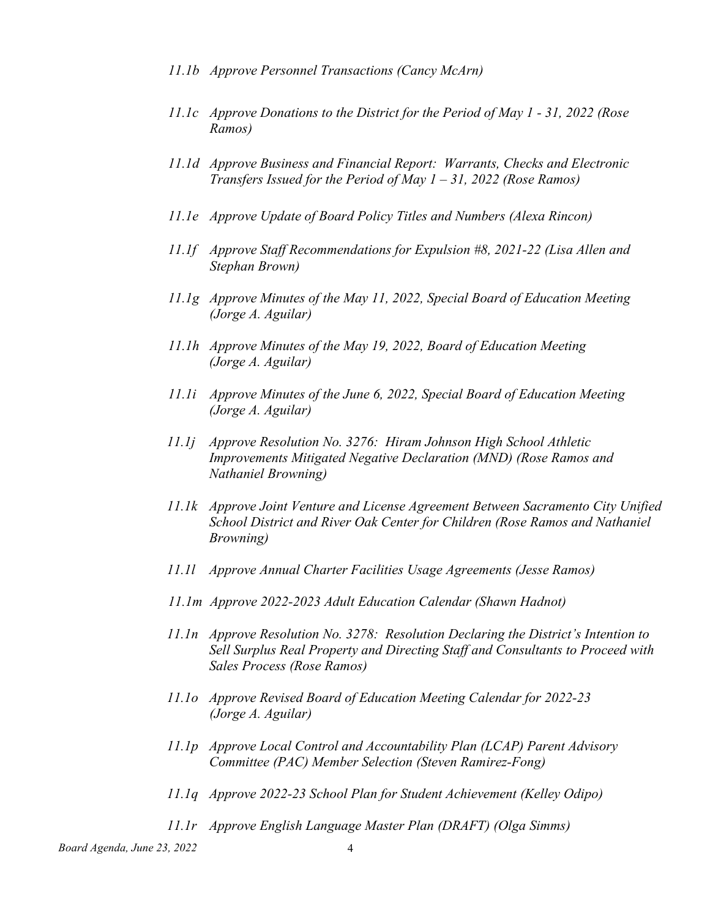- *11.1b Approve Personnel Transactions (Cancy McArn)*
- *11.1c Approve Donations to the District for the Period of May 1 - 31, 2022 (Rose Ramos)*
- *11.1d Approve Business and Financial Report: Warrants, Checks and Electronic Transfers Issued for the Period of May 1 – 31, 2022 (Rose Ramos)*
- *11.1e Approve Update of Board Policy Titles and Numbers (Alexa Rincon)*
- *11.1f Approve Staff Recommendations for Expulsion #8, 2021-22 (Lisa Allen and Stephan Brown)*
- *11.1g Approve Minutes of the May 11, 2022, Special Board of Education Meeting (Jorge A. Aguilar)*
- *11.1h Approve Minutes of the May 19, 2022, Board of Education Meeting (Jorge A. Aguilar)*
- *11.1i Approve Minutes of the June 6, 2022, Special Board of Education Meeting (Jorge A. Aguilar)*
- *11.1j Approve Resolution No. 3276: Hiram Johnson High School Athletic Improvements Mitigated Negative Declaration (MND) (Rose Ramos and Nathaniel Browning)*
- *11.1k Approve Joint Venture and License Agreement Between Sacramento City Unified School District and River Oak Center for Children (Rose Ramos and Nathaniel Browning)*
- *11.1l Approve Annual Charter Facilities Usage Agreements (Jesse Ramos)*
- *11.1m Approve 2022-2023 Adult Education Calendar (Shawn Hadnot)*
- *11.1n Approve Resolution No. 3278: Resolution Declaring the District's Intention to Sell Surplus Real Property and Directing Staff and Consultants to Proceed with Sales Process (Rose Ramos)*
- *11.1o Approve Revised Board of Education Meeting Calendar for 2022-23 (Jorge A. Aguilar)*
- *11.1p Approve Local Control and Accountability Plan (LCAP) Parent Advisory Committee (PAC) Member Selection (Steven Ramirez-Fong)*
- *11.1q Approve 2022-23 School Plan for Student Achievement (Kelley Odipo)*
- *11.1r Approve English Language Master Plan (DRAFT) (Olga Simms)*

*Board Agenda, June 23, 2022* 4